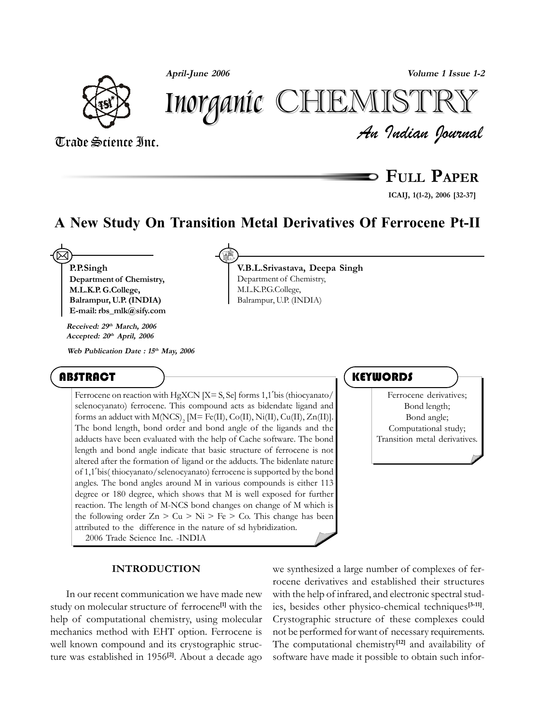**April-June 2006 Volume 1 Issue 1-2**





*An Indian Journal* Trade Science Inc.

**FULL PAPER**

**ICAIJ, 1(1-2), 2006 [32-37]**

# **A New Study On Transition Metal Derivatives Of Ferrocene Pt-II**

**V.B.L.Srivastava, Deepa Singh**

Department of Chemistry, M.L.K.P.G.College, Balrampur, U.P. (INDIA)

**P.P.Singh Department of Chemistry, M.L.K.P. G.College, Balrampur, U.P. (INDIA) E-mail: rbs\_mlk@sify.com 2** 

**Received: 29th March, 2006 Accepted: 20th April, 2006**

**Web Publication Date : 15th May, 2006**

## **ABSTRACT**

Ferrocene on reaction with HgXCN  $[X= S, S\epsilon]$  forms 1,1'bis (thiocyanato/ selenocyanato) ferrocene. This compound acts as bidendate ligand and forms an adduct with  $M(NCS)_{2}$  [M= Fe(II), Co(II), Ni(II), Cu(II), Zn(II)]. The bond length, bond order and bond angle of the ligands and the adducts have been evaluated with the help of Cache software. The bond length and bond angle indicate that basic structure of ferrocene is not altered after the formation of ligand or the adducts. The bidenlate nature of 1,1′bis( thiocyanato/selenocyanato) ferrocene is supported by the bond angles. The bond angles around M in various compounds is either 113 degree or 180 degree, which shows that M is well exposed for further reaction. The length of M-NCS bond changes on change of M which is the following order  $Z_n > Cu > Ni > Fe > Co$ . This change has been attributed to the difference in the nature of sd hybridization. 2006 Trade Science Inc. -INDIA

### **INTRODUCTION**

In our recent communication we have made new study on molecular structure of ferrocene**[1]** with the help of computational chemistry, using molecular mechanics method with EHT option. Ferrocene is well known compound and its crystographic structure was established in 1956**[2]**. About a decade ago

## **KEYWORDS**

Ferrocene derivatives; Bond length; Bond angle; Computational study; Transition metal derivatives.

we synthesized a large number of complexes of ferrocene derivatives and established their structures with the help of infrared, and electronic spectral studies, besides other physico-chemical techniques**[3-11]**. Crystographic structure of these complexes could not be performed for want of necessary requirements. The computational chemistry**[12]** and availability of software have made it possible to obtain such infor-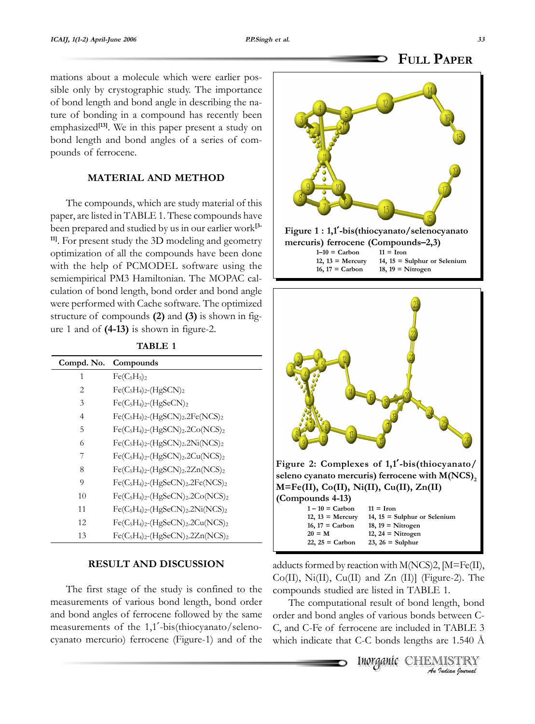### **FULL PAPER**

mations about a molecule which were earlier possible only by crystographic study. The importance of bond length and bond angle in describing the nature of bonding in a compound has recently been emphasized**[13]**. We in this paper present a study on bond length and bond angles of a series of compounds of ferrocene.

### **MATERIAL AND METHOD**

The compounds, which are study material of this paper, are listed in TABLE 1. These compounds have been prepared and studied by us in our earlier work**[3- 11]**. For present study the 3D modeling and geometry optimization of all the compounds have been done with the help of PCMODEL software using the semiempirical PM3 Hamiltonian. The MOPAC calculation of bond length, bond order and bond angle were performed with Cache software. The optimized structure of compounds **(2)** and **(3)** is shown in figure 1 and of **(4-13)** is shown in figure-2.

| Compd. No. | Compounds                                                                                     |
|------------|-----------------------------------------------------------------------------------------------|
| 1          | $Fe(C_5H_5)_2$                                                                                |
| 2          | $Fe(C_5H_4)_2$ - $(HgSCN)_2$                                                                  |
| 3          | $Fe(C_5H_4)_2$ -(HgSeCN) <sub>2</sub>                                                         |
| 4          | $Fe(C_5H_4)_2$ -(HgSCN) <sub>2</sub> .2Fe(NCS) <sub>2</sub>                                   |
| 5          | $Fe(C_5H_4)_2$ -(HgSCN) <sub>2</sub> .2Co(NCS) <sub>2</sub>                                   |
| 6          | $Fe(C_5H_4)_2$ -(HgSCN) <sub>2</sub> .2Ni(NCS) <sub>2</sub>                                   |
| 7          | $Fe(C_5H_4)_2$ -(HgSCN) <sub>2</sub> .2Cu(NCS) <sub>2</sub>                                   |
| 8          | $Fe(C_5H_4)_2$ -(HgSCN) <sub>2</sub> .2Zn(NCS) <sub>2</sub>                                   |
| 9          | $Fe(C_5H_4)_2$ -(HgSeCN) <sub>2</sub> .2Fe(NCS) <sub>2</sub>                                  |
| 10         | $Fe(C_5H_4)_2$ -(HgSeCN) <sub>2</sub> .2Co(NCS) <sub>2</sub>                                  |
| 11         | Fe(C <sub>5</sub> H <sub>4</sub> ) <sub>2</sub> -(HgSeCN) <sub>2</sub> .2Ni(NCS) <sub>2</sub> |
| 12         | $Fe(C_5H_4)_2$ -(HgSeCN) <sub>2</sub> .2Cu(NCS) <sub>2</sub>                                  |
| 13         | $Fe(C_5H_4)_2$ -(HgSeCN) <sub>2</sub> .2Zn(NCS) <sub>2</sub>                                  |

### **TABLE 1**

### **RESULT AND DISCUSSION**

The first stage of the study is confined to the measurements of various bond length, bond order and bond angles of ferrocene followed by the same measurements of the 1,1′-bis(thiocyanato/selenocyanato mercurio) ferrocene (Figure-1) and of the





adducts formed by reaction with M(NCS)2, [M=Fe(II), Co(II), Ni(II), Cu(II) and Zn (II)] (Figure-2). The compounds studied are listed in TABLE 1.

The computational result of bond length, bond order and bond angles of various bonds between C-C, and C-Fe of ferrocene are included in TABLE 3 which indicate that C-C bonds lengths are 1.540 Å

> Inorganic CHEMISTRY *An Indian Journal*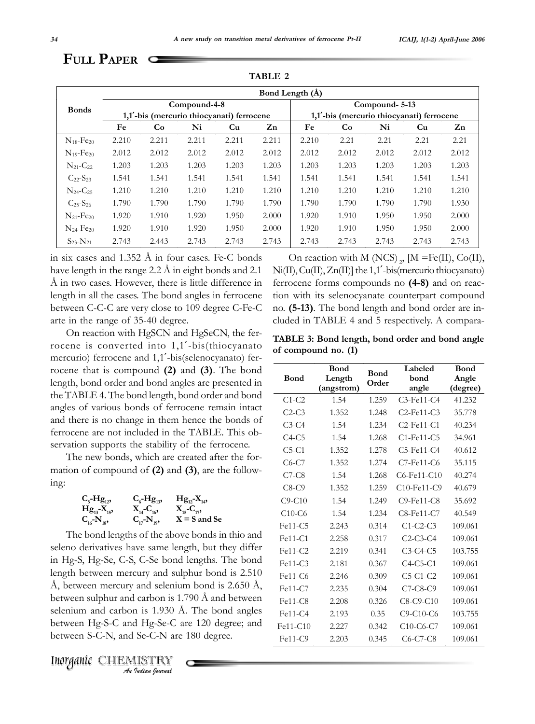## **FULL PAPER**

|                            |       | Bond Length (Å) |              |       |                                                                                        |       |       |               |       |                |  |  |  |  |  |
|----------------------------|-------|-----------------|--------------|-------|----------------------------------------------------------------------------------------|-------|-------|---------------|-------|----------------|--|--|--|--|--|
| <b>Bonds</b>               |       |                 | Compound-4-8 |       |                                                                                        |       |       | Compound-5-13 |       |                |  |  |  |  |  |
|                            |       |                 |              |       | 1,1'-bis (mercurio thiocyanati) ferrocene<br>1,1'-bis (mercurio thiocyanati) ferrocene |       |       |               |       |                |  |  |  |  |  |
|                            | Fe    | Co              | Ni           | Cu    | $\mathbf{Z}$ n                                                                         | Fe    | Co    | Ni            | Cu    | $\mathbf{Z}$ n |  |  |  |  |  |
| $N_{18}$ -Fe <sub>20</sub> | 2.210 | 2.211           | 2.211        | 2.211 | 2.211                                                                                  | 2.210 | 2.21  | 2.21          | 2.21  | 2.21           |  |  |  |  |  |
| $N_{19}$ -Fe <sub>20</sub> | 2.012 | 2.012           | 2.012        | 2.012 | 2.012                                                                                  | 2.012 | 2.012 | 2.012         | 2.012 | 2.012          |  |  |  |  |  |
| $N_{21}$ -C <sub>22</sub>  | 1.203 | 1.203           | 1.203        | 1.203 | 1.203                                                                                  | 1.203 | 1.203 | 1.203         | 1.203 | 1.203          |  |  |  |  |  |
| $C_{22} - S_{23}$          | 1.541 | 1.541           | 1.541        | 1.541 | 1.541                                                                                  | 1.541 | 1.541 | 1.541         | 1.541 | 1.541          |  |  |  |  |  |
| $N_{24}$ -C <sub>25</sub>  | 1.210 | 1.210           | 1.210        | 1.210 | 1.210                                                                                  | 1.210 | 1.210 | 1.210         | 1.210 | 1.210          |  |  |  |  |  |
| $C_{25} - S_{26}$          | 1.790 | 1.790           | 1.790        | 1.790 | 1.790                                                                                  | 1.790 | 1.790 | 1.790         | 1.790 | 1.930          |  |  |  |  |  |
| $N_{21}$ -Fe <sub>20</sub> | 1.920 | 1.910           | 1.920        | 1.950 | 2.000                                                                                  | 1.920 | 1.910 | 1.950         | 1.950 | 2.000          |  |  |  |  |  |
| $N_{24}$ -Fe <sub>20</sub> | 1.920 | 1.910           | 1.920        | 1.950 | 2.000                                                                                  | 1.920 | 1.910 | 1.950         | 1.950 | 2.000          |  |  |  |  |  |
| $S_{23} - N_{21}$          | 2.743 | 2.443           | 2.743        | 2.743 | 2.743                                                                                  | 2.743 | 2.743 | 2.743         | 2.743 | 2.743          |  |  |  |  |  |

**TABLE 2**

in six cases and 1.352 Å in four cases. Fe-C bonds have length in the range 2.2 Å in eight bonds and 2.1 Å in two cases. However, there is little difference in length in all the cases. The bond angles in ferrocene between C-C-C are very close to 109 degree C-Fe-C arte in the range of 35-40 degree.

On reaction with HgSCN and HgSeCN, the ferrocene is converted into 1,1′-bis(thiocyanato mercurio) ferrocene and 1,1′-bis(selenocyanato) ferrocene that is compound **(2)** and **(3)**. The bond length, bond order and bond angles are presented in the TABLE 4. The bond length, bond order and bond angles of various bonds of ferrocene remain intact and there is no change in them hence the bonds of ferrocene are not included in the TABLE. This observation supports the stability of the ferrocene.

The new bonds, which are created after the formation of compound of **(2)** and **(3)**, are the following:



The bond lengths of the above bonds in thio and seleno derivatives have same length, but they differ in Hg-S, Hg-Se, C-S, C-Se bond lengths. The bond length between mercury and sulphur bond is 2.510 Å, between mercury and selenium bond is 2.650 Å, between sulphur and carbon is 1.790 Å and between selenium and carbon is 1.930 Å. The bond angles between Hg-S-C and Hg-Se-C are 120 degree; and between S-C-N, and Se-C-N are 180 degree.

*An Indian Journal* Inorganic Inorganic CHEMISTRY

On reaction with M (NCS),  $[M = Fe(II), Co(II),]$ Ni(II), Cu(II), Zn(II)] the 1,1′-bis(mercurio thiocyanato) ferrocene forms compounds no **(4-8)** and on reaction with its selenocyanate counterpart compound no. **(5-13)**. The bond length and bond order are included in TABLE 4 and 5 respectively. A compara-

**TABLE 3: Bond length, bond order and bond angle of compound no. (1)**

|           | Bond       | <b>Bond</b> | Labeled           | Bond     |
|-----------|------------|-------------|-------------------|----------|
| Bond      | Length     | Order       | bond              | Angle    |
|           | (angstrom) |             | angle             | (degree) |
| $C1-C2$   | 1.54       | 1.259       | $C3$ -Fe11- $C4$  | 41.232   |
| $C2-C3$   | 1.352      | 1.248       | $C2$ -Fe11- $C3$  | 35.778   |
| $C3-C4$   | 1.54       | 1.234       | $C2$ -Fe11- $C1$  | 40.234   |
| $C4-C5$   | 1.54       | 1.268       | $C1$ -Fe $11$ -C5 | 34.961   |
| $C5-C1$   | 1.352      | 1.278       | $C5$ -Fe11- $C4$  | 40.612   |
| $C6-C7$   | 1.352      | 1.274       | $C7$ -Fe11- $C6$  | 35.115   |
| $C7-C8$   | 1.54       | 1.268       | $C6$ -Fe11- $C10$ | 40.274   |
| $C8-C9$   | 1.352      | 1.259       | $C10$ -Fe11- $C9$ | 40.679   |
| $C9-C10$  | 1.54       | 1.249       | $C9$ -Fe11- $C8$  | 35.692   |
| $C10-C6$  | 1.54       | 1.234       | C8-Fe11-C7        | 40.549   |
| Fe11-C5   | 2.243      | 0.314       | $C1-C2-C3$        | 109.061  |
| Fe11-C1   | 2.258      | 0.317       | $C2-C3-C4$        | 109.061  |
| Fe11-C2   | 2.219      | 0.341       | $C3-C4-C5$        | 103.755  |
| $Fe11-C3$ | 2.181      | 0.367       | $C4-C5-C1$        | 109.061  |
| $Fe11-C6$ | 2.246      | 0.309       | $C5-C1-C2$        | 109.061  |
| Fe11-C7   | 2.235      | 0.304       | $C7-C8-C9$        | 109.061  |
| Fe11-C8   | 2.208      | 0.326       | $C8-C9-C10$       | 109.061  |
| Fe11-C4   | 2.193      | 0.35        | $C9-C10-C6$       | 103.755  |
| Fe11-C10  | 2.227      | 0.342       | $C10-C6-C7$       | 109.061  |
| Fe11-C9   | 2.203      | 0.345       | $C6-C7-C8$        | 109.061  |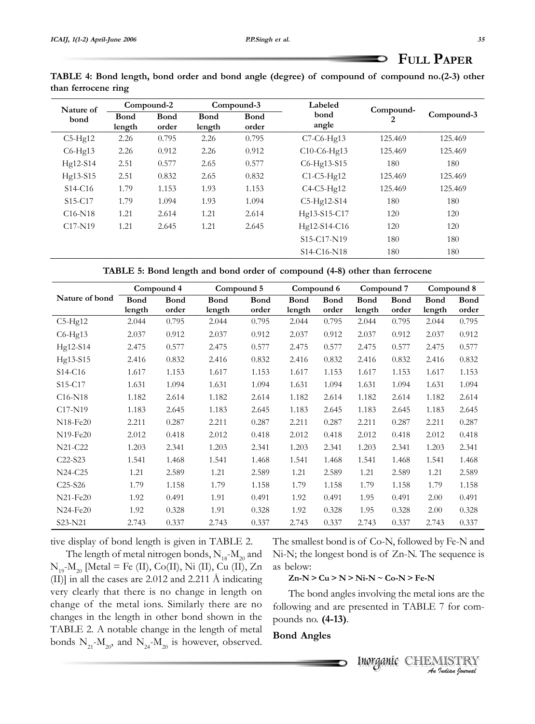| TABLE 4: Bond length, bond order and bond angle (degree) of compound of compound no.(2-3) other |  |  |  |
|-------------------------------------------------------------------------------------------------|--|--|--|
| than ferrocene ring                                                                             |  |  |  |

| Nature of                        |                       | Compound-2           |                       | Compound-3           | Labeled                                           | Compound- |            |
|----------------------------------|-----------------------|----------------------|-----------------------|----------------------|---------------------------------------------------|-----------|------------|
| bond                             | <b>Bond</b><br>length | <b>Bond</b><br>order | <b>Bond</b><br>length | <b>Bond</b><br>order | bond<br>angle                                     | 2         | Compound-3 |
| $C5-Hg12$                        | 2.26                  | 0.795                | 2.26                  | 0.795                | C7-C6-Hg13                                        | 125.469   | 125.469    |
| $C6-Hg13$                        | 2.26                  | 0.912                | 2.26                  | 0.912                | C10-C6-Hg13                                       | 125.469   | 125.469    |
| Hg12-S14                         | 2.51                  | 0.577                | 2.65                  | 0.577                | C6-Hg13-S15                                       | 180       | 180        |
| Hg13-S15                         | 2.51                  | 0.832                | 2.65                  | 0.832                | $C1-C5-Hg12$                                      | 125.469   | 125.469    |
| S <sub>14</sub> -C <sub>16</sub> | 1.79                  | 1.153                | 1.93                  | 1.153                | $C4-C5-Hg12$                                      | 125.469   | 125.469    |
| S <sub>15</sub> -C <sub>17</sub> | 1.79                  | 1.094                | 1.93                  | 1.094                | C5-Hg12-S14                                       | 180       | 180        |
| $C16-N18$                        | 1.21                  | 2.614                | 1.21                  | 2.614                | Hg13-S15-C17                                      | 120       | 120        |
| C <sub>17</sub> -N <sub>19</sub> | 1.21                  | 2.645                | 1.21                  | 2.645                | Hg12-S14-C16                                      | 120       | 120        |
|                                  |                       |                      |                       |                      | S15-C17-N19                                       | 180       | 180        |
|                                  |                       |                      |                       |                      | S <sub>14</sub> -C <sub>16</sub> -N <sub>18</sub> | 180       | 180        |

|                                   | Compound 4  |             | Compound 5  |             | Compound 6  |             | Compound 7  |             | Compound 8  |             |
|-----------------------------------|-------------|-------------|-------------|-------------|-------------|-------------|-------------|-------------|-------------|-------------|
| Nature of bond                    | <b>Bond</b> | <b>Bond</b> | <b>Bond</b> | <b>Bond</b> | <b>Bond</b> | <b>Bond</b> | <b>Bond</b> | <b>Bond</b> | <b>Bond</b> | <b>Bond</b> |
|                                   | length      | order       | length      | order       | length      | order       | length      | order       | length      | order       |
| $C5-Hg12$                         | 2.044       | 0.795       | 2.044       | 0.795       | 2.044       | 0.795       | 2.044       | 0.795       | 2.044       | 0.795       |
| $C6-Hg13$                         | 2.037       | 0.912       | 2.037       | 0.912       | 2.037       | 0.912       | 2.037       | 0.912       | 2.037       | 0.912       |
| Hg12-S14                          | 2.475       | 0.577       | 2.475       | 0.577       | 2.475       | 0.577       | 2.475       | 0.577       | 2.475       | 0.577       |
| Hg13-S15                          | 2.416       | 0.832       | 2.416       | 0.832       | 2.416       | 0.832       | 2.416       | 0.832       | 2.416       | 0.832       |
| S <sub>14</sub> -C <sub>16</sub>  | 1.617       | 1.153       | 1.617       | 1.153       | 1.617       | 1.153       | 1.617       | 1.153       | 1.617       | 1.153       |
| S <sub>15</sub> -C <sub>17</sub>  | 1.631       | 1.094       | 1.631       | 1.094       | 1.631       | 1.094       | 1.631       | 1.094       | 1.631       | 1.094       |
| $C16-N18$                         | 1.182       | 2.614       | 1.182       | 2.614       | 1.182       | 2.614       | 1.182       | 2.614       | 1.182       | 2.614       |
| C <sub>17</sub> -N <sub>19</sub>  | 1.183       | 2.645       | 1.183       | 2.645       | 1.183       | 2.645       | 1.183       | 2.645       | 1.183       | 2.645       |
| N <sub>18</sub> -Fe <sub>20</sub> | 2.211       | 0.287       | 2.211       | 0.287       | 2.211       | 0.287       | 2.211       | 0.287       | 2.211       | 0.287       |
| N <sub>19</sub> -Fe <sub>20</sub> | 2.012       | 0.418       | 2.012       | 0.418       | 2.012       | 0.418       | 2.012       | 0.418       | 2.012       | 0.418       |
| N21-C22                           | 1.203       | 2.341       | 1.203       | 2.341       | 1.203       | 2.341       | 1.203       | 2.341       | 1.203       | 2.341       |
| $C22-S23$                         | 1.541       | 1.468       | 1.541       | 1.468       | 1.541       | 1.468       | 1.541       | 1.468       | 1.541       | 1.468       |
| N24-C25                           | 1.21        | 2.589       | 1.21        | 2.589       | 1.21        | 2.589       | 1.21        | 2.589       | 1.21        | 2.589       |
| $C25-S26$                         | 1.79        | 1.158       | 1.79        | 1.158       | 1.79        | 1.158       | 1.79        | 1.158       | 1.79        | 1.158       |
| $N21-Fe20$                        | 1.92        | 0.491       | 1.91        | 0.491       | 1.92        | 0.491       | 1.95        | 0.491       | 2.00        | 0.491       |
| $N24-Fe20$                        | 1.92        | 0.328       | 1.91        | 0.328       | 1.92        | 0.328       | 1.95        | 0.328       | 2.00        | 0.328       |
| S23-N21                           | 2.743       | 0.337       | 2.743       | 0.337       | 2.743       | 0.337       | 2.743       | 0.337       | 2.743       | 0.337       |

tive display of bond length is given in TABLE 2.

The length of metal nitrogen bonds,  $N_{18}-M_{20}$  and  $N_{19}-M_{20}$  [Metal = Fe (II), Co(II), Ni (II), Cu (II), Zn (II)] in all the cases are 2.012 and 2.211 Å indicating very clearly that there is no change in length on change of the metal ions. Similarly there are no changes in the length in other bond shown in the TABLE 2. A notable change in the length of metal bonds  $N_{21}$ - $M_{20}$ , and  $N_{24}$ - $M_{20}$  is however, observed. The smallest bond is of Co-N, followed by Fe-N and Ni-N; the longest bond is of Zn-N. The sequence is as below:

**Zn-N > Cu > N > Ni-N ~ Co-N > Fe-N**

The bond angles involving the metal ions are the following and are presented in TABLE 7 for compounds no. **(4-13)**.

### **Bond Angles**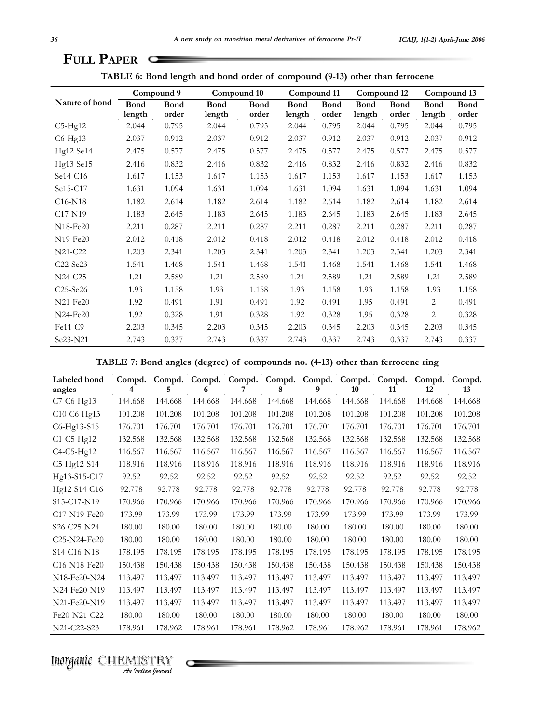| TABLE 6: Bond length and bond order of compound (9-13) other than ferrocene |  |  |  |  |  |  |  |  |  |  |  |  |
|-----------------------------------------------------------------------------|--|--|--|--|--|--|--|--|--|--|--|--|
|-----------------------------------------------------------------------------|--|--|--|--|--|--|--|--|--|--|--|--|

|                                   |             | Compound 9  | Compound 10 |             | Compound 11 |             | Compound 12 |             | Compound 13 |             |
|-----------------------------------|-------------|-------------|-------------|-------------|-------------|-------------|-------------|-------------|-------------|-------------|
| Nature of bond                    | <b>Bond</b> | <b>Bond</b> | <b>Bond</b> | <b>Bond</b> | <b>Bond</b> | <b>Bond</b> | <b>Bond</b> | <b>Bond</b> | <b>Bond</b> | <b>Bond</b> |
|                                   | length      | order       | length      | order       | length      | order       | length      | order       | length      | order       |
| $C5-Hg12$                         | 2.044       | 0.795       | 2.044       | 0.795       | 2.044       | 0.795       | 2.044       | 0.795       | 2.044       | 0.795       |
| $C6-Hg13$                         | 2.037       | 0.912       | 2.037       | 0.912       | 2.037       | 0.912       | 2.037       | 0.912       | 2.037       | 0.912       |
| Hg12-Se14                         | 2.475       | 0.577       | 2.475       | 0.577       | 2.475       | 0.577       | 2.475       | 0.577       | 2.475       | 0.577       |
| Hg13-Se15                         | 2.416       | 0.832       | 2.416       | 0.832       | 2.416       | 0.832       | 2.416       | 0.832       | 2.416       | 0.832       |
| Se14-C16                          | 1.617       | 1.153       | 1.617       | 1.153       | 1.617       | 1.153       | 1.617       | 1.153       | 1.617       | 1.153       |
| Se15-C17                          | 1.631       | 1.094       | 1.631       | 1.094       | 1.631       | 1.094       | 1.631       | 1.094       | 1.631       | 1.094       |
| $C16-N18$                         | 1.182       | 2.614       | 1.182       | 2.614       | 1.182       | 2.614       | 1.182       | 2.614       | 1.182       | 2.614       |
| C <sub>17</sub> -N <sub>19</sub>  | 1.183       | 2.645       | 1.183       | 2.645       | 1.183       | 2.645       | 1.183       | 2.645       | 1.183       | 2.645       |
| N <sub>18</sub> -Fe <sub>20</sub> | 2.211       | 0.287       | 2.211       | 0.287       | 2.211       | 0.287       | 2.211       | 0.287       | 2.211       | 0.287       |
| N <sub>19</sub> -Fe <sub>20</sub> | 2.012       | 0.418       | 2.012       | 0.418       | 2.012       | 0.418       | 2.012       | 0.418       | 2.012       | 0.418       |
| N21-C22                           | 1.203       | 2.341       | 1.203       | 2.341       | 1.203       | 2.341       | 1.203       | 2.341       | 1.203       | 2.341       |
| C <sub>22</sub> -Se <sub>23</sub> | 1.541       | 1.468       | 1.541       | 1.468       | 1.541       | 1.468       | 1.541       | 1.468       | 1.541       | 1.468       |
| N24-C25                           | 1.21        | 2.589       | 1.21        | 2.589       | 1.21        | 2.589       | 1.21        | 2.589       | 1.21        | 2.589       |
| $C25-Se26$                        | 1.93        | 1.158       | 1.93        | 1.158       | 1.93        | 1.158       | 1.93        | 1.158       | 1.93        | 1.158       |
| N21-Fe20                          | 1.92        | 0.491       | 1.91        | 0.491       | 1.92        | 0.491       | 1.95        | 0.491       | 2           | 0.491       |
| N24-Fe20                          | 1.92        | 0.328       | 1.91        | 0.328       | 1.92        | 0.328       | 1.95        | 0.328       | 2           | 0.328       |
| Fe11-C9                           | 2.203       | 0.345       | 2.203       | 0.345       | 2.203       | 0.345       | 2.203       | 0.345       | 2.203       | 0.345       |
| Se23-N21                          | 2.743       | 0.337       | 2.743       | 0.337       | 2.743       | 0.337       | 2.743       | 0.337       | 2.743       | 0.337       |

**TABLE 7: Bond angles (degree) of compounds no. (4-13) other than ferrocene ring**

| Labeled bond                                                   | Compd.  | Compd.  | Compd.  | Compd.  | Compd.  | Compd.  | Compd.  | Compd.  | Compd.  | Compd.  |
|----------------------------------------------------------------|---------|---------|---------|---------|---------|---------|---------|---------|---------|---------|
| angles                                                         | 4       | 5       | 6       | 7       | 8       | 9       | 10      | 11      | 12      | 13      |
| $C7-C6-Hg13$                                                   | 144.668 | 144.668 | 144.668 | 144.668 | 144.668 | 144.668 | 144.668 | 144.668 | 144.668 | 144.668 |
| C10-C6-Hg13                                                    | 101.208 | 101.208 | 101.208 | 101.208 | 101.208 | 101.208 | 101.208 | 101.208 | 101.208 | 101.208 |
| C6-Hg13-S15                                                    | 176.701 | 176.701 | 176.701 | 176.701 | 176.701 | 176.701 | 176.701 | 176.701 | 176.701 | 176.701 |
| $C1-C5-Hg12$                                                   | 132.568 | 132.568 | 132.568 | 132.568 | 132.568 | 132.568 | 132.568 | 132.568 | 132.568 | 132.568 |
| $C4-C5-Hg12$                                                   | 116.567 | 116.567 | 116.567 | 116.567 | 116.567 | 116.567 | 116.567 | 116.567 | 116.567 | 116.567 |
| C5-Hg12-S14                                                    | 118.916 | 118.916 | 118.916 | 118.916 | 118.916 | 118.916 | 118.916 | 118.916 | 118.916 | 118.916 |
| Hg13-S15-C17                                                   | 92.52   | 92.52   | 92.52   | 92.52   | 92.52   | 92.52   | 92.52   | 92.52   | 92.52   | 92.52   |
| Hg12-S14-C16                                                   | 92.778  | 92.778  | 92.778  | 92.778  | 92.778  | 92.778  | 92.778  | 92.778  | 92.778  | 92.778  |
| S15-C17-N19                                                    | 170.966 | 170.966 | 170.966 | 170.966 | 170.966 | 170.966 | 170.966 | 170.966 | 170.966 | 170.966 |
| C <sub>17</sub> -N <sub>19</sub> -F <sub>e</sub> <sub>20</sub> | 173.99  | 173.99  | 173.99  | 173.99  | 173.99  | 173.99  | 173.99  | 173.99  | 173.99  | 173.99  |
| S <sub>26</sub> -C <sub>25</sub> -N <sub>24</sub>              | 180.00  | 180.00  | 180.00  | 180.00  | 180.00  | 180.00  | 180.00  | 180.00  | 180.00  | 180.00  |
| C <sub>25</sub> -N <sub>24</sub> -Fe <sub>20</sub>             | 180.00  | 180.00  | 180.00  | 180.00  | 180.00  | 180.00  | 180.00  | 180.00  | 180.00  | 180.00  |
| S <sub>14</sub> -C <sub>16</sub> -N <sub>18</sub>              | 178.195 | 178.195 | 178.195 | 178.195 | 178.195 | 178.195 | 178.195 | 178.195 | 178.195 | 178.195 |
| C <sub>16</sub> -N <sub>18</sub> -F <sub>e</sub> <sub>20</sub> | 150.438 | 150.438 | 150.438 | 150.438 | 150.438 | 150.438 | 150.438 | 150.438 | 150.438 | 150.438 |
| N18-Fe20-N24                                                   | 113.497 | 113.497 | 113.497 | 113.497 | 113.497 | 113.497 | 113.497 | 113.497 | 113.497 | 113.497 |
| N24-Fe20-N19                                                   | 113.497 | 113.497 | 113.497 | 113.497 | 113.497 | 113.497 | 113.497 | 113.497 | 113.497 | 113.497 |
| N21-Fe20-N19                                                   | 113.497 | 113.497 | 113.497 | 113.497 | 113.497 | 113.497 | 113.497 | 113.497 | 113.497 | 113.497 |
| Fe20-N21-C22                                                   | 180.00  | 180.00  | 180.00  | 180.00  | 180.00  | 180.00  | 180.00  | 180.00  | 180.00  | 180.00  |
| N21-C22-S23                                                    | 178.961 | 178.962 | 178.961 | 178.961 | 178.962 | 178.961 | 178.962 | 178.961 | 178.961 | 178.962 |

*An Indian Journal* Inorganic Inorganic CHEMISTRY

 $\sim$